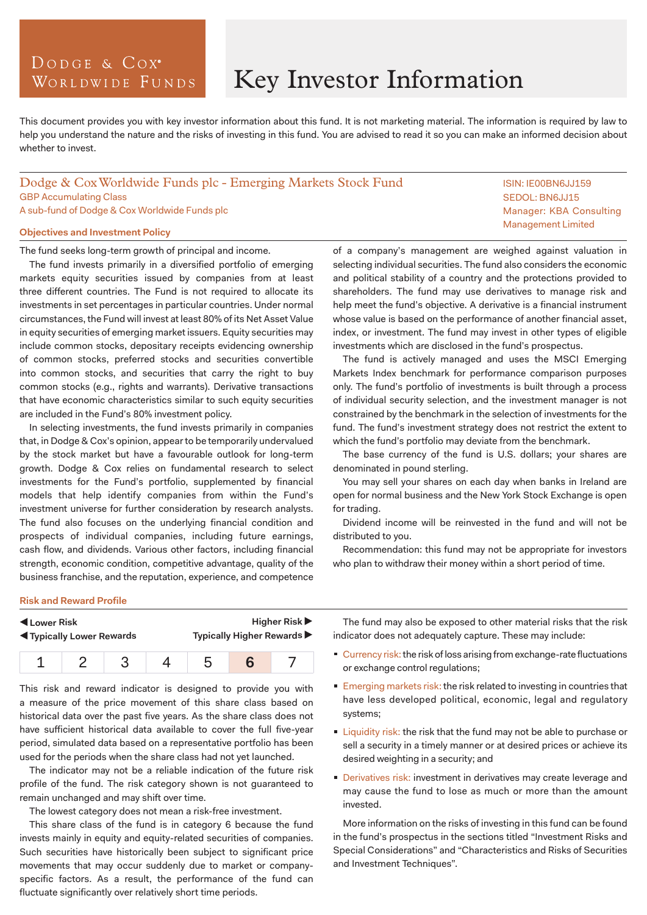# DODGE & COX<sup>°</sup> WORLDWIDE FUNDS

# Key Investor Information

This document provides you with key investor information about this fund. It is not marketing material. The information is required by law to help you understand the nature and the risks of investing in this fund. You are advised to read it so you can make an informed decision about whether to invest.

## Dodge & Cox Worldwide Funds plc - Emerging Markets Stock Fund GBP Accumulating Class A sub-fund of Dodge & Cox Worldwide Funds plc

## **Objectives and Investment Policy**

The fund seeks long-term growth of principal and income.

The fund invests primarily in a diversified portfolio of emerging markets equity securities issued by companies from at least three different countries. The Fund is not required to allocate its investments in set percentages in particular countries. Under normal circumstances, the Fund will invest at least 80% of its Net Asset Value in equity securities of emerging market issuers. Equity securities may include common stocks, depositary receipts evidencing ownership of common stocks, preferred stocks and securities convertible into common stocks, and securities that carry the right to buy common stocks (e.g., rights and warrants). Derivative transactions that have economic characteristics similar to such equity securities are included in the Fund's 80% investment policy.

In selecting investments, the fund invests primarily in companies that, in Dodge & Cox's opinion, appear to be temporarily undervalued by the stock market but have a favourable outlook for long-term growth. Dodge & Cox relies on fundamental research to select investments for the Fund's portfolio, supplemented by financial models that help identify companies from within the Fund's investment universe for further consideration by research analysts. The fund also focuses on the underlying financial condition and prospects of individual companies, including future earnings, cash flow, and dividends. Various other factors, including financial strength, economic condition, competitive advantage, quality of the business franchise, and the reputation, experience, and competence

of a company's management are weighed against valuation in selecting individual securities. The fund also considers the economic and political stability of a country and the protections provided to shareholders. The fund may use derivatives to manage risk and help meet the fund's objective. A derivative is a financial instrument whose value is based on the performance of another financial asset, index, or investment. The fund may invest in other types of eligible investments which are disclosed in the fund's prospectus.

The fund is actively managed and uses the MSCI Emerging Markets Index benchmark for performance comparison purposes only. The fund's portfolio of investments is built through a process of individual security selection, and the investment manager is not constrained by the benchmark in the selection of investments for the fund. The fund's investment strategy does not restrict the extent to which the fund's portfolio may deviate from the benchmark.

The base currency of the fund is U.S. dollars; your shares are denominated in pound sterling.

You may sell your shares on each day when banks in Ireland are open for normal business and the New York Stock Exchange is open for trading.

Dividend income will be reinvested in the fund and will not be distributed to you.

Recommendation: this fund may not be appropriate for investors who plan to withdraw their money within a short period of time.

#### **Risk and Reward Profile**

| Lower Risk                       |  |  |  | <b>Higher Risk</b> ▶       |  |  |
|----------------------------------|--|--|--|----------------------------|--|--|
| <b>K</b> Typically Lower Rewards |  |  |  | Typically Higher Rewards ▶ |  |  |
|                                  |  |  |  |                            |  |  |

This risk and reward indicator is designed to provide you with a measure of the price movement of this share class based on historical data over the past five years. As the share class does not have sufficient historical data available to cover the full five-year period, simulated data based on a representative portfolio has been used for the periods when the share class had not yet launched.

The indicator may not be a reliable indication of the future risk profile of the fund. The risk category shown is not guaranteed to remain unchanged and may shift over time.

The lowest category does not mean a risk-free investment.

This share class of the fund is in category 6 because the fund invests mainly in equity and equity-related securities of companies. Such securities have historically been subject to significant price movements that may occur suddenly due to market or companyspecific factors. As a result, the performance of the fund can fluctuate significantly over relatively short time periods.

The fund may also be exposed to other material risks that the risk indicator does not adequately capture. These may include:

- Currency risk: the risk of loss arising from exchange-rate fluctuations or exchange control regulations;
- **Emerging markets risk: the risk related to investing in countries that** have less developed political, economic, legal and regulatory systems;
- **Liquidity risk: the risk that the fund may not be able to purchase or** sell a security in a timely manner or at desired prices or achieve its desired weighting in a security; and
- Derivatives risk: investment in derivatives may create leverage and may cause the fund to lose as much or more than the amount invested.

More information on the risks of investing in this fund can be found in the fund's prospectus in the sections titled "Investment Risks and Special Considerations" and "Characteristics and Risks of Securities and Investment Techniques".

ISIN: IE00BN6JJ159 SEDOL: BN6JJ15 Manager: KBA Consulting Management Limited